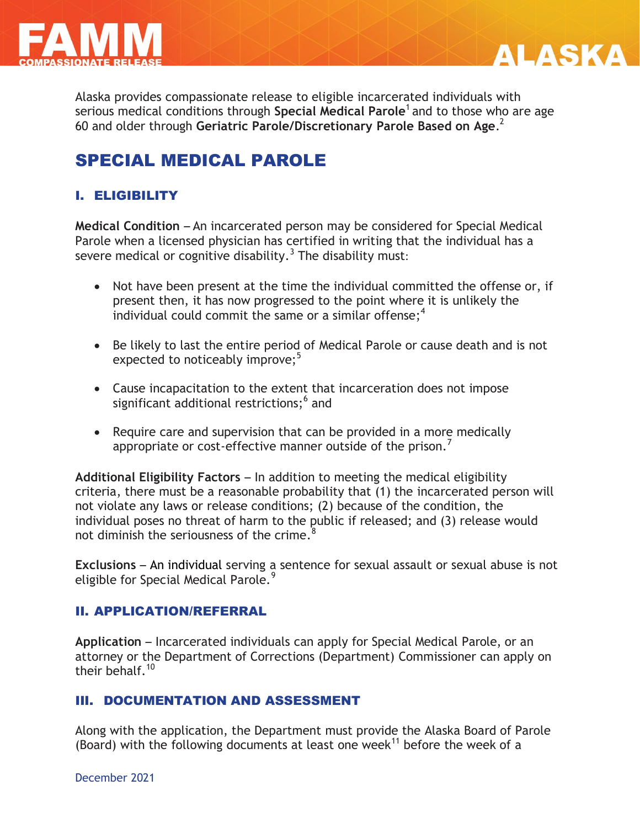



Alaska provides compassionate release to eligible incarcerated individuals with serious medical conditions through **Special Medical Parole**<sup>1</sup> and to those who are age 60 and older through **Geriatric Parole/Discretionary Parole Based on Age**. 2

# SPECIAL MEDICAL PAROLE

## I. ELIGIBILITY

**Medical Condition** – An incarcerated person may be considered for Special Medical Parole when a licensed physician has certified in writing that the individual has a severe medical or cognitive disability. $^3$  The disability must:

- Not have been present at the time the individual committed the offense or, if present then, it has now progressed to the point where it is unlikely the individual could commit the same or a similar offense;<sup>4</sup>
- Be likely to last the entire period of Medical Parole or cause death and is not expected to noticeably improve;<sup>5</sup>
- Cause incapacitation to the extent that incarceration does not impose significant additional restrictions;<sup>6</sup> and
- Require care and supervision that can be provided in a more medically appropriate or cost-effective manner outside of the prison. $'$

**Additional Eligibility Factors** – In addition to meeting the medical eligibility criteria, there must be a reasonable probability that (1) the incarcerated person will not violate any laws or release conditions; (2) because of the condition, the individual poses no threat of harm to the public if released; and (3) release would not diminish the seriousness of the crime. $8$ 

**Exclusions** – An individual serving a sentence for sexual assault or sexual abuse is not eligible for Special Medical Parole.<sup>9</sup>

#### II. APPLICATION/REFERRAL

**Application** – Incarcerated individuals can apply for Special Medical Parole, or an attorney or the Department of Corrections (Department) Commissioner can apply on their behalf. $10$ 

### III. DOCUMENTATION AND ASSESSMENT

Along with the application, the Department must provide the Alaska Board of Parole (Board) with the following documents at least one week<sup>11</sup> before the week of a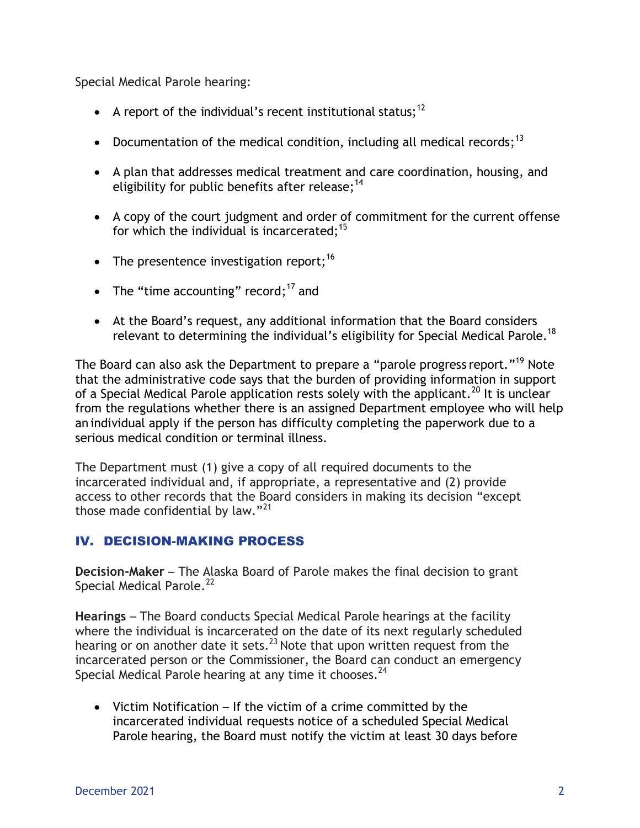Special Medical Parole hearing:

- A report of the individual's recent institutional status;<sup>12</sup>
- Documentation of the medical condition, including all medical records;<sup>13</sup>
- A plan that addresses medical treatment and care coordination, housing, and eligibility for public benefits after release;<sup>14</sup>
- A copy of the court judgment and order of commitment for the current offense for which the individual is incarcerated; $15$
- The presentence investigation report;<sup>16</sup>
- The "time accounting" record; $17$  and
- At the Board's request, any additional information that the Board considers relevant to determining the individual's eligibility for Special Medical Parole.<sup>18</sup>

The Board can also ask the Department to prepare a "parole progress report."<sup>19</sup> Note that the administrative code says that the burden of providing information in support of a Special Medical Parole application rests solely with the applicant.<sup>20</sup> It is unclear from the regulations whether there is an assigned Department employee who will help an individual apply if the person has difficulty completing the paperwork due to a serious medical condition or terminal illness.

The Department must (1) give a copy of all required documents to the incarcerated individual and, if appropriate, a representative and (2) provide access to other records that the Board considers in making its decision "except those made confidential by law."<sup>21</sup>

## IV. DECISION-MAKING PROCESS

**Decision-Maker** – The Alaska Board of Parole makes the final decision to grant Special Medical Parole.<sup>22</sup>

**Hearings** – The Board conducts Special Medical Parole hearings at the facility where the individual is incarcerated on the date of its next regularly scheduled hearing or on another date it sets. $^{23}$  Note that upon written request from the incarcerated person or the Commissioner, the Board can conduct an emergency Special Medical Parole hearing at any time it chooses.<sup>24</sup>

 Victim Notification – If the victim of a crime committed by the incarcerated individual requests notice of a scheduled Special Medical Parole hearing, the Board must notify the victim at least 30 days before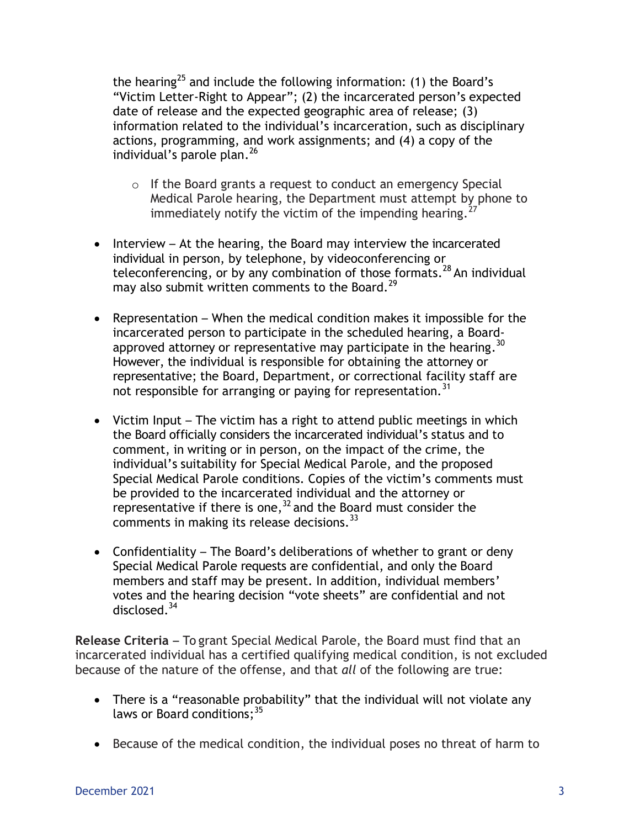the hearing<sup>25</sup> and include the following information: (1) the Board's "Victim Letter-Right to Appear"; (2) the incarcerated person's expected date of release and the expected geographic area of release; (3) information related to the individual's incarceration, such as disciplinary actions, programming, and work assignments; and (4) a copy of the individual's parole plan. 26

- o If the Board grants a request to conduct an emergency Special Medical Parole hearing, the Department must attempt by phone to immediately notify the victim of the impending hearing.
- $\bullet$  Interview At the hearing, the Board may interview the incarcerated individual in person, by telephone, by videoconferencing or teleconferencing, or by any combination of those formats.<sup>28</sup> An individual may also submit written comments to the Board.<sup>29</sup>
- Representation When the medical condition makes it impossible for the incarcerated person to participate in the scheduled hearing, a Boardapproved attorney or representative may participate in the hearing.  $30$ However, the individual is responsible for obtaining the attorney or representative; the Board, Department, or correctional facility staff are not responsible for arranging or paying for representation.<sup>31</sup>
- Victim Input The victim has a right to attend public meetings in which the Board officially considers the incarcerated individual's status and to comment, in writing or in person, on the impact of the crime, the individual's suitability for Special Medical Parole, and the proposed Special Medical Parole conditions. Copies of the victim's comments must be provided to the incarcerated individual and the attorney or representative if there is one,  $32$  and the Board must consider the comments in making its release decisions.<sup>33</sup>
- Confidentiality The Board's deliberations of whether to grant or deny Special Medical Parole requests are confidential, and only the Board members and staff may be present. In addition, individual members' votes and the hearing decision "vote sheets" are confidential and not disclosed.<sup>34</sup>

**Release Criteria** – To grant Special Medical Parole, the Board must find that an incarcerated individual has a certified qualifying medical condition, is not excluded because of the nature of the offense, and that *all* of the following are true:

- There is a "reasonable probability" that the individual will not violate any laws or Board conditions;<sup>35</sup>
- Because of the medical condition, the individual poses no threat of harm to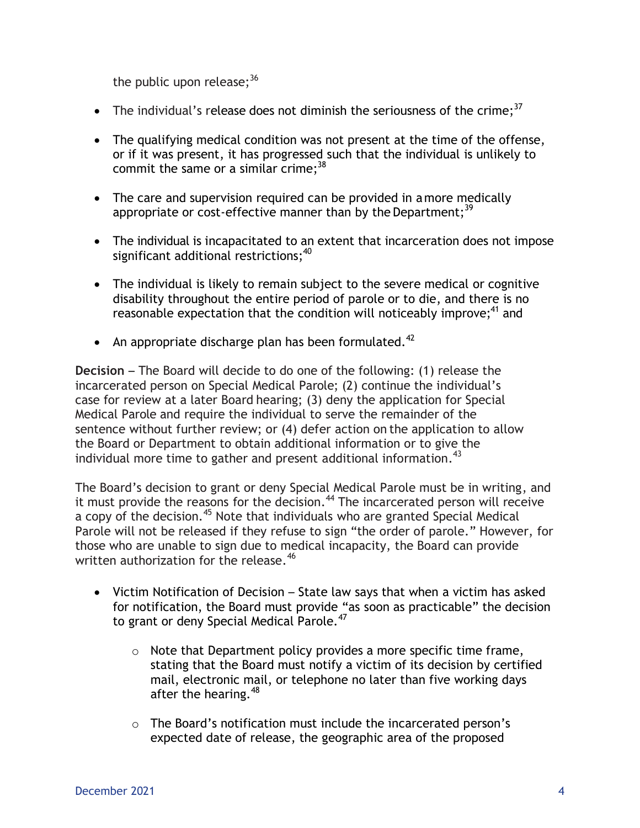the public upon release;  $^{36}$ 

- The individual's release does not diminish the seriousness of the crime;<sup>37</sup>
- The qualifying medical condition was not present at the time of the offense, or if it was present, it has progressed such that the individual is unlikely to commit the same or a similar crime;<sup>38</sup>
- The care and supervision required can be provided in amore medically appropriate or cost-effective manner than by the Department;  $^{39}$
- The individual is incapacitated to an extent that incarceration does not impose significant additional restrictions; $^{40}$
- The individual is likely to remain subject to the severe medical or cognitive disability throughout the entire period of parole or to die, and there is no reasonable expectation that the condition will noticeably improve;<sup>41</sup> and
- An appropriate discharge plan has been formulated. $42$

**Decision** – The Board will decide to do one of the following: (1) release the incarcerated person on Special Medical Parole; (2) continue the individual's case for review at a later Board hearing; (3) deny the application for Special Medical Parole and require the individual to serve the remainder of the sentence without further review; or (4) defer action on the application to allow the Board or Department to obtain additional information or to give the individual more time to gather and present additional information.<sup>43</sup>

The Board's decision to grant or deny Special Medical Parole must be in writing, and it must provide the reasons for the decision.<sup>44</sup> The incarcerated person will receive a copy of the decision.<sup>45</sup> Note that individuals who are granted Special Medical Parole will not be released if they refuse to sign "the order of parole." However, for those who are unable to sign due to medical incapacity, the Board can provide written authorization for the release.<sup>46</sup>

- Victim Notification of Decision State law says that when a victim has asked for notification, the Board must provide "as soon as practicable" the decision to grant or deny Special Medical Parole.<sup>47</sup>
	- $\circ$  Note that Department policy provides a more specific time frame, stating that the Board must notify a victim of its decision by certified mail, electronic mail, or telephone no later than five working days after the hearing.<sup>48</sup>
	- o The Board's notification must include the incarcerated person's expected date of release, the geographic area of the proposed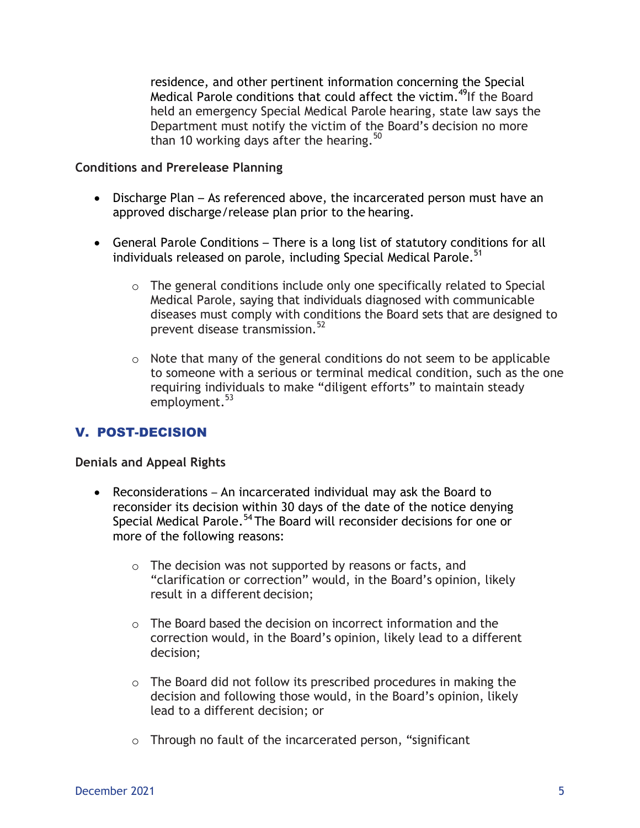residence, and other pertinent information concerning the Special Medical Parole conditions that could affect the victim.<sup>49</sup>If the Board held an emergency Special Medical Parole hearing, state law says the Department must notify the victim of the Board's decision no more than 10 working days after the hearing.<sup>50</sup>

#### **Conditions and Prerelease Planning**

- Discharge Plan As referenced above, the incarcerated person must have an approved discharge/release plan prior to the hearing.
- General Parole Conditions There is a long list of statutory conditions for all individuals released on parole, including Special Medical Parole.<sup>51</sup>
	- o The general conditions include only one specifically related to Special Medical Parole, saying that individuals diagnosed with communicable diseases must comply with conditions the Board sets that are designed to prevent disease transmission.<sup>52</sup>
	- o Note that many of the general conditions do not seem to be applicable to someone with a serious or terminal medical condition, such as the one requiring individuals to make "diligent efforts" to maintain steady employment.<sup>53</sup>

### V. POST-DECISION

#### **Denials and Appeal Rights**

- Reconsiderations An incarcerated individual may ask the Board to reconsider its decision within 30 days of the date of the notice denying Special Medical Parole.<sup>54</sup> The Board will reconsider decisions for one or more of the following reasons:
	- o The decision was not supported by reasons or facts, and "clarification or correction" would, in the Board's opinion, likely result in a different decision;
	- o The Board based the decision on incorrect information and the correction would, in the Board's opinion, likely lead to a different decision;
	- o The Board did not follow its prescribed procedures in making the decision and following those would, in the Board's opinion, likely lead to a different decision; or
	- o Through no fault of the incarcerated person, "significant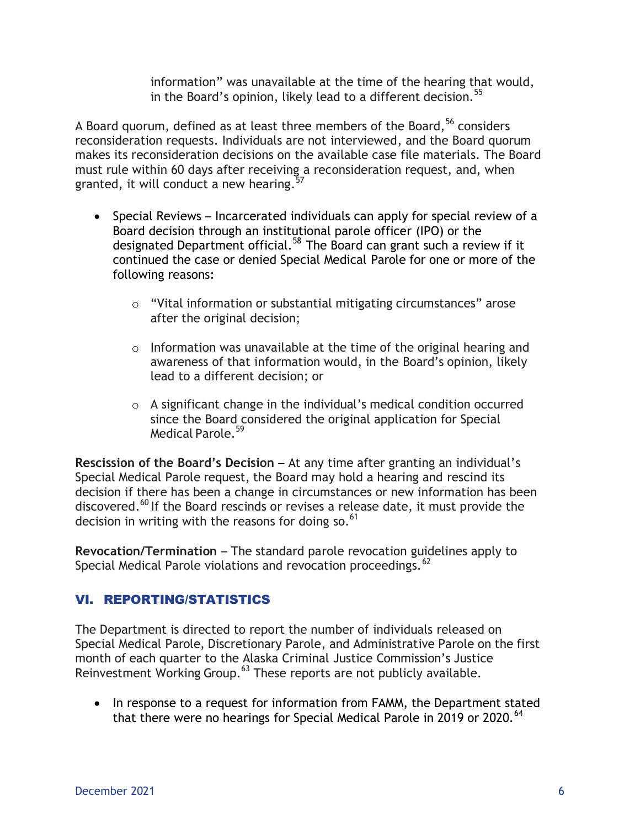information" was unavailable at the time of the hearing that would, in the Board's opinion, likely lead to a different decision.<sup>55</sup>

A Board quorum, defined as at least three members of the Board,  $56$  considers reconsideration requests. Individuals are not interviewed, and the Board quorum makes its reconsideration decisions on the available case file materials. The Board must rule within 60 days after receiving a reconsideration request, and, when granted, it will conduct a new hearing.<sup>57</sup>

- Special Reviews Incarcerated individuals can apply for special review of a Board decision through an institutional parole officer (IPO) or the designated Department official.<sup>58</sup> The Board can grant such a review if it continued the case or denied Special Medical Parole for one or more of the following reasons:
	- o "Vital information or substantial mitigating circumstances" arose after the original decision;
	- $\circ$  Information was unavailable at the time of the original hearing and awareness of that information would, in the Board's opinion, likely lead to a different decision; or
	- o A significant change in the individual's medical condition occurred since the Board considered the original application for Special Medical Parole.<sup>59</sup>

**Rescission of the Board's Decision** – At any time after granting an individual's Special Medical Parole request, the Board may hold a hearing and rescind its decision if there has been a change in circumstances or new information has been discovered.<sup>60</sup> If the Board rescinds or revises a release date, it must provide the decision in writing with the reasons for doing so. $61$ 

**Revocation/Termination** – The standard parole revocation guidelines apply to Special Medical Parole violations and revocation proceedings.<sup>62</sup>

## VI. REPORTING/STATISTICS

The Department is directed to report the number of individuals released on Special Medical Parole, Discretionary Parole, and Administrative Parole on the first month of each quarter to the Alaska Criminal Justice Commission's Justice Reinvestment Working Group.<sup>63</sup> These reports are not publicly available.

• In response to a request for information from FAMM, the Department stated that there were no hearings for Special Medical Parole in 2019 or 2020.<sup>64</sup>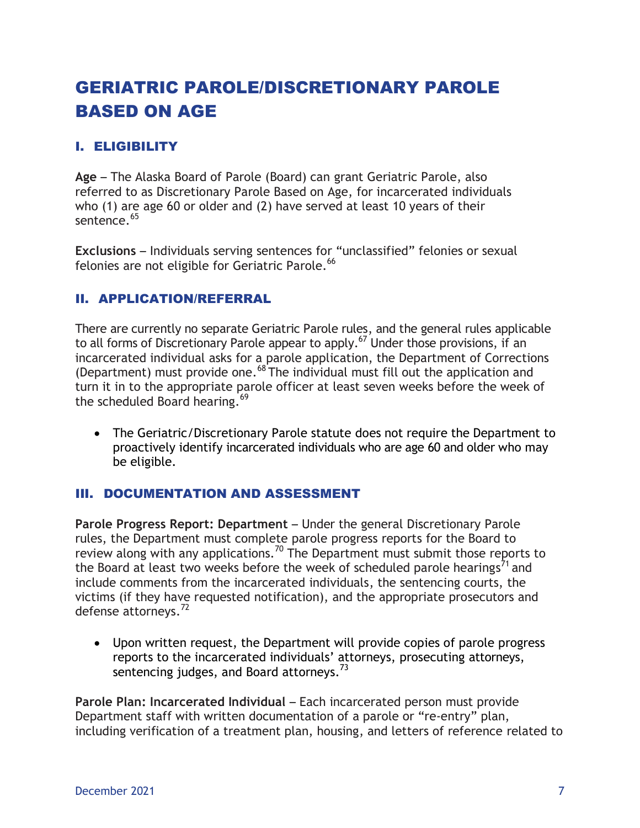# GERIATRIC PAROLE/DISCRETIONARY PAROLE BASED ON AGE

## I. ELIGIBILITY

**Age** – The Alaska Board of Parole (Board) can grant Geriatric Parole, also referred to as Discretionary Parole Based on Age, for incarcerated individuals who (1) are age 60 or older and (2) have served at least 10 years of their sentence.<sup>65</sup>

**Exclusions** – Individuals serving sentences for "unclassified" felonies or sexual felonies are not eligible for Geriatric Parole.<sup>66</sup>

### II. APPLICATION/REFERRAL

There are currently no separate Geriatric Parole rules, and the general rules applicable to all forms of Discretionary Parole appear to apply.<sup>67</sup> Under those provisions, if an incarcerated individual asks for a parole application, the Department of Corrections (Department) must provide one.<sup>68</sup> The individual must fill out the application and turn it in to the appropriate parole officer at least seven weeks before the week of the scheduled Board hearing.<sup>69</sup>

 The Geriatric/Discretionary Parole statute does not require the Department to proactively identify incarcerated individuals who are age 60 and older who may be eligible.

### III. DOCUMENTATION AND ASSESSMENT

**Parole Progress Report: Department** – Under the general Discretionary Parole rules, the Department must complete parole progress reports for the Board to review along with any applications.<sup>70</sup> The Department must submit those reports to the Board at least two weeks before the week of scheduled parole hearings<sup>71</sup> and include comments from the incarcerated individuals, the sentencing courts, the victims (if they have requested notification), and the appropriate prosecutors and defense attorneys. 72

 Upon written request, the Department will provide copies of parole progress reports to the incarcerated individuals' attorneys, prosecuting attorneys, sentencing judges, and Board attorneys.<sup>73</sup>

**Parole Plan: Incarcerated Individual** – Each incarcerated person must provide Department staff with written documentation of a parole or "re-entry" plan, including verification of a treatment plan, housing, and letters of reference related to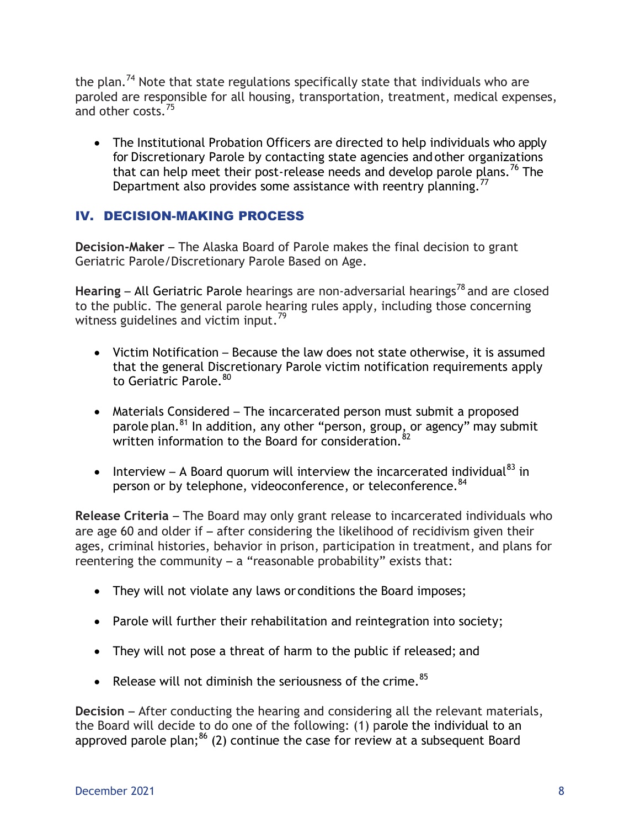the plan.<sup>74</sup> Note that state regulations specifically state that individuals who are paroled are responsible for all housing, transportation, treatment, medical expenses, and other costs.<sup>75</sup>

• The Institutional Probation Officers are directed to help individuals who apply for Discretionary Parole by contacting state agencies and other organizations that can help meet their post-release needs and develop parole plans.<sup>76</sup> The Department also provides some assistance with reentry planning.<sup>77</sup>

## IV. DECISION-MAKING PROCESS

**Decision-Maker** – The Alaska Board of Parole makes the final decision to grant Geriatric Parole/Discretionary Parole Based on Age.

Hearing – All Geriatric Parole hearings are non-adversarial hearings<sup>78</sup> and are closed to the public. The general parole hearing rules apply, including those concerning witness guidelines and victim input.<sup>79</sup>

- Victim Notification Because the law does not state otherwise, it is assumed that the general Discretionary Parole victim notification requirements apply to Geriatric Parole.<sup>80</sup>
- Materials Considered The incarcerated person must submit a proposed parole plan.<sup>81</sup> In addition, any other "person, group, or agency" may submit written information to the Board for consideration 82
- Interview A Board quorum will interview the incarcerated individual<sup>83</sup> in person or by telephone, videoconference, or teleconference. <sup>84</sup>

**Release Criteria** – The Board may only grant release to incarcerated individuals who are age 60 and older if – after considering the likelihood of recidivism given their ages, criminal histories, behavior in prison, participation in treatment, and plans for reentering the community  $-$  a "reasonable probability" exists that:

- They will not violate any laws or conditions the Board imposes;
- Parole will further their rehabilitation and reintegration into society;
- They will not pose a threat of harm to the public if released; and
- Release will not diminish the seriousness of the crime.  $85$

**Decision** – After conducting the hearing and considering all the relevant materials, the Board will decide to do one of the following: (1) parole the individual to an approved parole plan; $^{86}$  (2) continue the case for review at a subsequent Board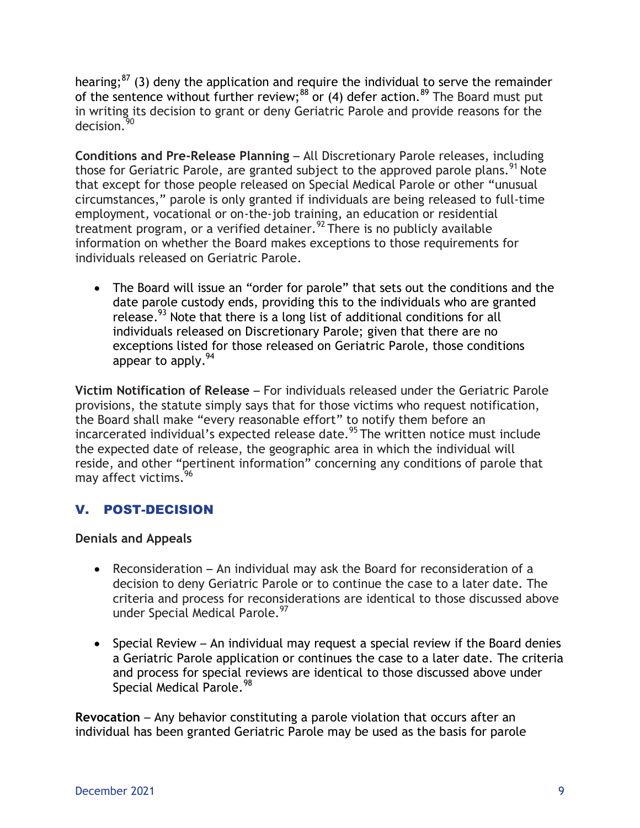hearing; $^{87}$  (3) deny the application and require the individual to serve the remainder of the sentence without further review;<sup>88</sup> or (4) defer action.<sup>89</sup> The Board must put in writing its decision to grant or deny Geriatric Parole and provide reasons for the decision.<sup>30</sup>

**Conditions and Pre-Release Planning** – All Discretionary Parole releases, including those for Geriatric Parole, are granted subject to the approved parole plans.<sup>91</sup> Note that except for those people released on Special Medical Parole or other "unusual circumstances," parole is only granted if individuals are being released to full-time employment, vocational or on-the-job training, an education or residential treatment program, or a verified detainer.<sup>92</sup> There is no publicly available information on whether the Board makes exceptions to those requirements for individuals released on Geriatric Parole.

 The Board will issue an "order for parole" that sets out the conditions and the date parole custody ends, providing this to the individuals who are granted release.<sup>93</sup> Note that there is a long list of additional conditions for all individuals released on Discretionary Parole; given that there are no exceptions listed for those released on Geriatric Parole, those conditions appear to apply.<sup>94</sup>

**Victim Notification of Release** – For individuals released under the Geriatric Parole provisions, the statute simply says that for those victims who request notification, the Board shall make "every reasonable effort" to notify them before an incarcerated individual's expected release date.<sup>95</sup> The written notice must include the expected date of release, the geographic area in which the individual will reside, and other "pertinent information" concerning any conditions of parole that may affect victims. 96

## V. POST-DECISION

### **Denials and Appeals**

- Reconsideration An individual may ask the Board for reconsideration of a decision to deny Geriatric Parole or to continue the case to a later date. The criteria and process for reconsiderations are identical to those discussed above under Special Medical Parole.<sup>97</sup>
- Special Review An individual may request a special review if the Board denies a Geriatric Parole application or continues the case to a later date. The criteria and process for special reviews are identical to those discussed above under Special Medical Parole.<sup>98</sup>

**Revocation** – Any behavior constituting a parole violation that occurs after an individual has been granted Geriatric Parole may be used as the basis for parole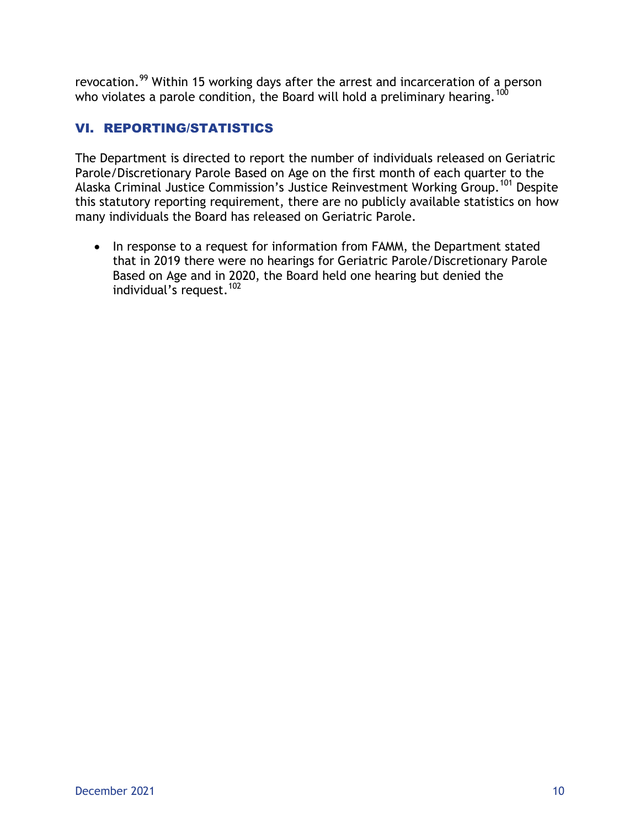revocation.<sup>99</sup> Within 15 working days after the arrest and incarceration of a person who violates a parole condition, the Board will hold a preliminary hearing.<sup>100</sup>

## VI. REPORTING/STATISTICS

The Department is directed to report the number of individuals released on Geriatric Parole/Discretionary Parole Based on Age on the first month of each quarter to the Alaska Criminal Justice Commission's Justice Reinvestment Working Group.<sup>101</sup> Despite this statutory reporting requirement, there are no publicly available statistics on how many individuals the Board has released on Geriatric Parole.

• In response to a request for information from FAMM, the Department stated that in 2019 there were no hearings for Geriatric Parole/Discretionary Parole Based on Age and in 2020, the Board held one hearing but denied the individual's request. 102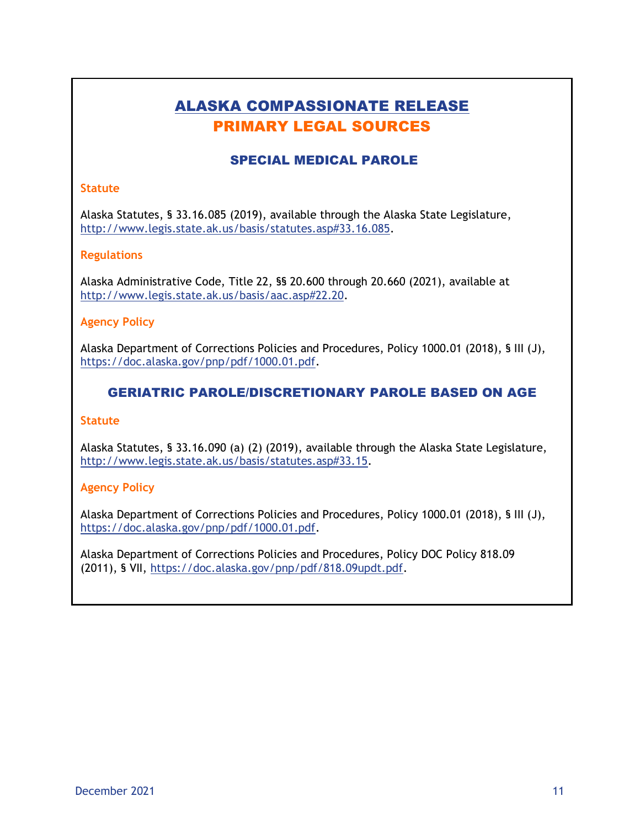## ALASKA COMPASSIONATE RELEASE PRIMARY LEGAL SOURCES

### SPECIAL MEDICAL PAROLE

#### **Statute**

Alaska Statutes, § 33.16.085 (2019), available through the Alaska State Legislature, [http://www.legis.state.ak.us/basis/statutes.asp#33.16.085.](http://www.legis.state.ak.us/basis/statutes.asp#33.16.085)

#### **Regulations**

Alaska Administrative Code, Title 22, §§ 20.600 through 20.660 (2021), available at [http://www.legis.state.ak.us/basis/aac.asp#22.20.](http://www.legis.state.ak.us/basis/aac.asp#22.20)

#### **Agency Policy**

Alaska Department of Corrections Policies and Procedures, Policy 1000.01 (2018), § III (J), [https://doc.alaska.gov/pnp/pdf/1000.01.pdf.](https://doc.alaska.gov/pnp/pdf/1000.01.pdf)

### GERIATRIC PAROLE/DISCRETIONARY PAROLE BASED ON AGE

#### **Statute**

Alaska Statutes, § 33.16.090 (a) (2) (2019), available through the Alaska State Legislature, [http://www.legis.state.ak.us/basis/statutes.asp#33.15.](http://www.legis.state.ak.us/basis/statutes.asp#33.15)

#### **Agency Policy**

Alaska Department of Corrections Policies and Procedures, Policy 1000.01 (2018), § III (J), [https://doc.alaska.gov/pnp/pdf/1000.01.pdf.](https://doc.alaska.gov/pnp/pdf/1000.01.pdf)

Alaska Department of Corrections Policies and Procedures, Policy DOC Policy 818.09 (2011), § VII, https://doc.alaska.gov/pnp/pdf/818.09updt.pdf.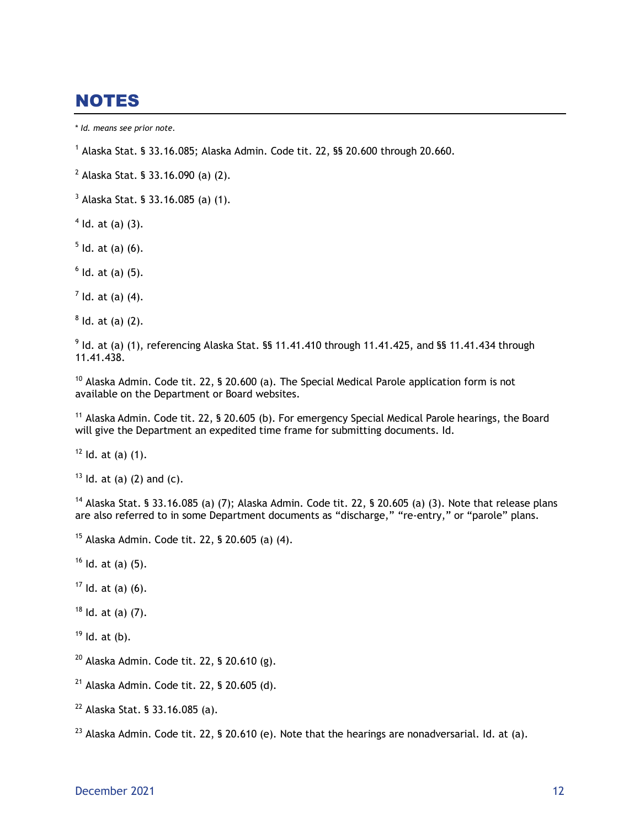# NOTES

- $3$  Alaska Stat. § 33.16.085 (a) (1).
- $4$  ld. at (a) (3).
- $5$  ld. at (a) (6).
- $<sup>6</sup>$  ld. at (a) (5).</sup>

 $<sup>7</sup>$  ld. at (a) (4).</sup>

 $8$  ld. at (a) (2).

 $^{9}$  ld. at (a) (1), referencing Alaska Stat. §§ 11.41.410 through 11.41.425, and §§ 11.41.434 through 11.41.438.

<sup>10</sup> Alaska Admin. Code tit. 22, § 20.600 (a). The Special Medical Parole application form is not available on the Department or Board websites.

<sup>11</sup> Alaska Admin. Code tit. 22, § 20.605 (b). For emergency Special Medical Parole hearings, the Board will give the Department an expedited time frame for submitting documents. Id.

 $12$  Id. at (a) (1).

 $13$  Id. at (a) (2) and (c).

 $^{14}$  Alaska Stat. § 33.16.085 (a) (7); Alaska Admin. Code tit. 22, § 20.605 (a) (3). Note that release plans are also referred to in some Department documents as "discharge," "re-entry," or "parole" plans.

<sup>15</sup> Alaska Admin. Code tit. 22, § 20.605 (a) (4).

- $16$  Id. at (a) (5).
- $17$  Id. at (a) (6).

 $18$  Id. at (a) (7).

 $19$  Id. at (b).

- $20$  Alaska Admin. Code tit. 22, § 20.610 (g).
- $21$  Alaska Admin. Code tit. 22, § 20.605 (d).
- <sup>22</sup> Alaska Stat. § 33.16.085 (a).

<sup>23</sup> Alaska Admin. Code tit. 22, § 20.610 (e). Note that the hearings are nonadversarial. Id. at (a).

<sup>\*</sup> *Id. means see prior note.*

 $^1$  Alaska Stat. § 33.16.085; Alaska Admin. Code tit. 22, §§ 20.600 through 20.660.

 $^{2}$  Alaska Stat. § 33.16.090 (a) (2).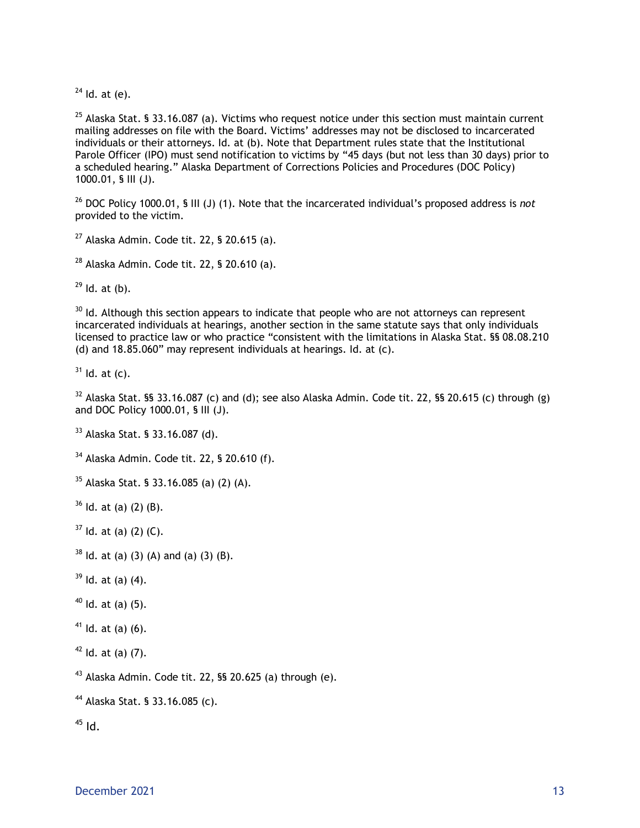Id. at (e).

<sup>25</sup> Alaska Stat. § 33.16.087 (a). Victims who request notice under this section must maintain current mailing addresses on file with the Board. Victims' addresses may not be disclosed to incarcerated individuals or their attorneys. Id. at (b). Note that Department rules state that the Institutional Parole Officer (IPO) must send notification to victims by "45 days (but not less than 30 days) prior to a scheduled hearing." Alaska Department of Corrections Policies and Procedures (DOC Policy) 1000.01, § III (J).

 DOC Policy 1000.01, § III (J) (1). Note that the incarcerated individual's proposed address is *not*  provided to the victim.

Alaska Admin. Code tit. 22, § 20.615 (a).

Alaska Admin. Code tit. 22, § 20.610 (a).

Id. at (b).

 Id. Although this section appears to indicate that people who are not attorneys can represent incarcerated individuals at hearings, another section in the same statute says that only individuals licensed to practice law or who practice "consistent with the limitations in Alaska Stat. §§ 08.08.210 (d) and 18.85.060" may represent individuals at hearings. Id. at (c).

Id. at (c).

 Alaska Stat. §§ 33.16.087 (c) and (d); see also Alaska Admin. Code tit. 22, §§ 20.615 (c) through (g) and DOC Policy 1000.01, § III (J).

Alaska Stat. § 33.16.087 (d).

Alaska Admin. Code tit. 22, § 20.610 (f).

Alaska Stat. § 33.16.085 (a) (2) (A).

Id. at (a) (2) (B).

Id. at (a) (2) (C).

ld. at (a) (3) (A) and (a) (3) (B).

Id. at (a) (4).

Id. at (a) (5).

Id. at (a) (6).

Id. at (a) (7).

Alaska Admin. Code tit. 22, §§ 20.625 (a) through (e).

Alaska Stat. § 33.16.085 (c).

Id.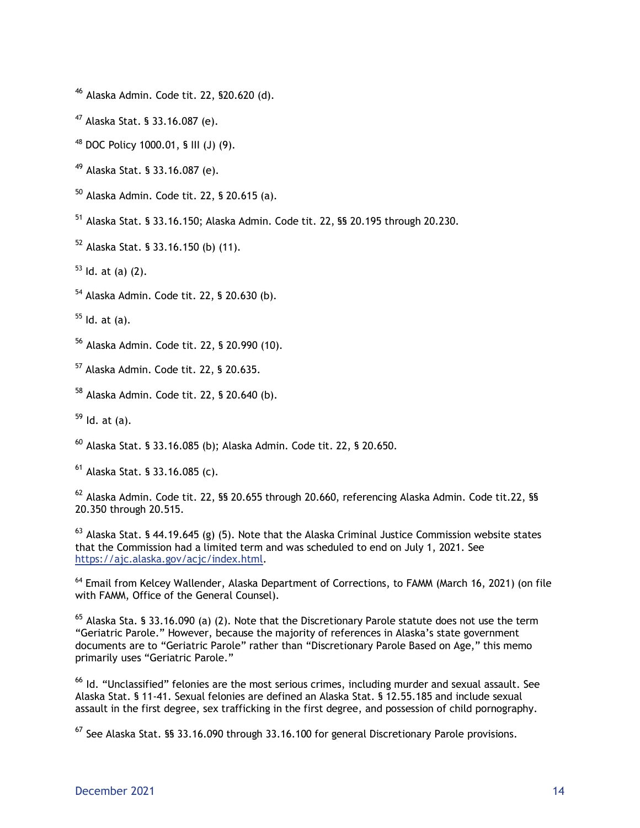- <sup>46</sup> Alaska Admin. Code tit. 22, §20.620 (d).
- <sup>47</sup> Alaska Stat. § 33.16.087 (e).
- <sup>48</sup> DOC Policy 1000.01, § III (J) (9).
- <sup>49</sup> Alaska Stat. § 33.16.087 (e).
- $50$  Alaska Admin. Code tit. 22, § 20.615 (a).
- <sup>51</sup> Alaska Stat. § 33.16.150; Alaska Admin. Code tit. 22, §§ 20.195 through 20.230.
- <sup>52</sup> Alaska Stat. § 33.16.150 (b) (11).
- $53$  Id. at (a) (2).
- <sup>54</sup> Alaska Admin. Code tit. 22, § 20.630 (b).

 $55$  Id. at (a).

- <sup>56</sup> Alaska Admin. Code tit. 22, § 20.990 (10).
- <sup>57</sup> Alaska Admin. Code tit. 22, § 20.635.
- <sup>58</sup> Alaska Admin. Code tit. 22, § 20.640 (b).

 $59$  Id. at (a).

<sup>60</sup> Alaska Stat. § 33.16.085 (b); Alaska Admin. Code tit. 22, § 20.650.

 $^{61}$  Alaska Stat. § 33.16.085 (c).

<sup>62</sup> Alaska Admin. Code tit. 22, §§ 20.655 through 20.660, referencing Alaska Admin. Code tit.22, §§ 20.350 through 20.515.

 $^{63}$  Alaska Stat. § 44.19.645 (g) (5). Note that the Alaska Criminal Justice Commission website states that the Commission had a limited term and was scheduled to end on July 1, 2021. See [https://ajc.alaska.gov/acjc/index.html.](https://ajc.alaska.gov/acjc/index.html)

<sup>64</sup> Email from Kelcey Wallender, Alaska Department of Corrections, to FAMM (March 16, 2021) (on file with FAMM, Office of the General Counsel).

 $65$  Alaska Sta. § 33.16.090 (a) (2). Note that the Discretionary Parole statute does not use the term "Geriatric Parole." However, because the majority of references in Alaska's state government documents are to "Geriatric Parole" rather than "Discretionary Parole Based on Age," this memo primarily uses "Geriatric Parole."

 $^{66}$  Id. "Unclassified" felonies are the most serious crimes, including murder and sexual assault. See Alaska Stat. § 11-41. Sexual felonies are defined an Alaska Stat. § 12.55.185 and include sexual assault in the first degree, sex trafficking in the first degree, and possession of child pornography.

 $^{67}$  See Alaska Stat. §§ 33.16.090 through 33.16.100 for general Discretionary Parole provisions.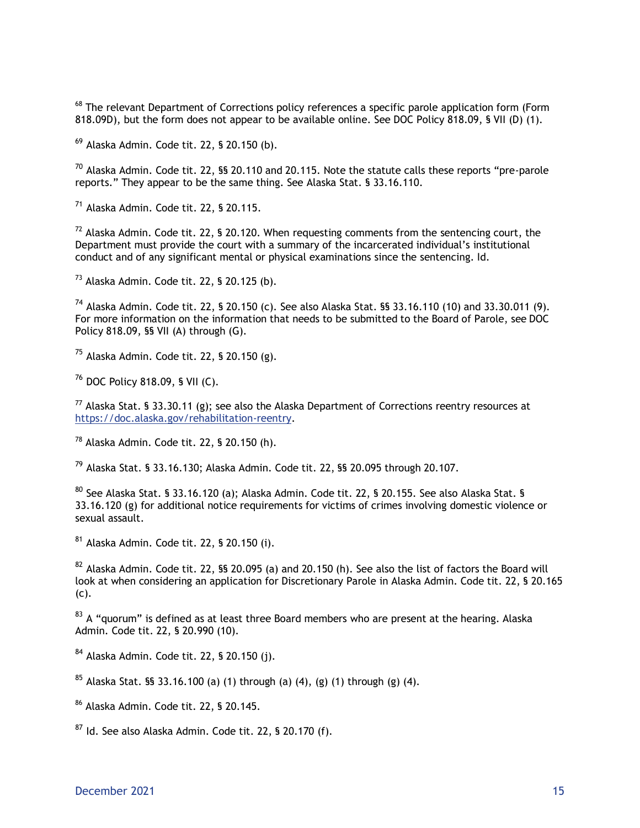<sup>68</sup> The relevant Department of Corrections policy references a specific parole application form (Form 818.09D), but the form does not appear to be available online. See DOC Policy 818.09, § VII (D) (1).

 $^{69}$  Alaska Admin. Code tit. 22, § 20.150 (b).

 $70$  Alaska Admin. Code tit. 22, §§ 20.110 and 20.115. Note the statute calls these reports "pre-parole reports." They appear to be the same thing. See Alaska Stat. § 33.16.110.

<sup>71</sup> Alaska Admin. Code tit. 22, § 20.115.

 $72$  Alaska Admin. Code tit. 22, § 20.120. When requesting comments from the sentencing court, the Department must provide the court with a summary of the incarcerated individual's institutional conduct and of any significant mental or physical examinations since the sentencing. Id.

 $73$  Alaska Admin. Code tit. 22, § 20.125 (b).

<sup>74</sup> Alaska Admin. Code tit. 22, § 20.150 (c). See also Alaska Stat. §§ 33.16.110 (10) and 33.30.011 (9). For more information on the information that needs to be submitted to the Board of Parole, see DOC Policy 818.09, §§ VII (A) through (G).

 $75$  Alaska Admin. Code tit. 22, § 20.150 (g).

<sup>76</sup> DOC Policy 818.09, § VII (C).

 $^{77}$  Alaska Stat. § 33.30.11 (g); see also the Alaska Department of Corrections reentry resources at [https://doc.alaska.gov/rehabilitation-reentry.](https://doc.alaska.gov/rehabilitation-reentry)

<sup>78</sup> Alaska Admin. Code tit. 22, § 20.150 (h).

<sup>79</sup> Alaska Stat. § 33.16.130; Alaska Admin. Code tit. 22, §§ 20.095 through 20.107.

 $80$  See Alaska Stat. § 33.16.120 (a); Alaska Admin. Code tit. 22, § 20.155. See also Alaska Stat. § 33.16.120 (g) for additional notice requirements for victims of crimes involving domestic violence or sexual assault.

<sup>81</sup> Alaska Admin. Code tit. 22, § 20.150 (i).

 $82$  Alaska Admin. Code tit. 22, §§ 20.095 (a) and 20.150 (h). See also the list of factors the Board will look at when considering an application for Discretionary Parole in Alaska Admin. Code tit. 22, § 20.165 (c).

<sup>83</sup> A "quorum" is defined as at least three Board members who are present at the hearing. Alaska Admin. Code tit. 22, § 20.990 (10).

<sup>84</sup> Alaska Admin. Code tit. 22, § 20.150 (j).

 $85$  Alaska Stat. §§ 33.16.100 (a) (1) through (a) (4), (g) (1) through (g) (4).

<sup>86</sup> Alaska Admin. Code tit. 22, § 20.145.

 $87$  Id. See also Alaska Admin. Code tit. 22, § 20.170 (f).